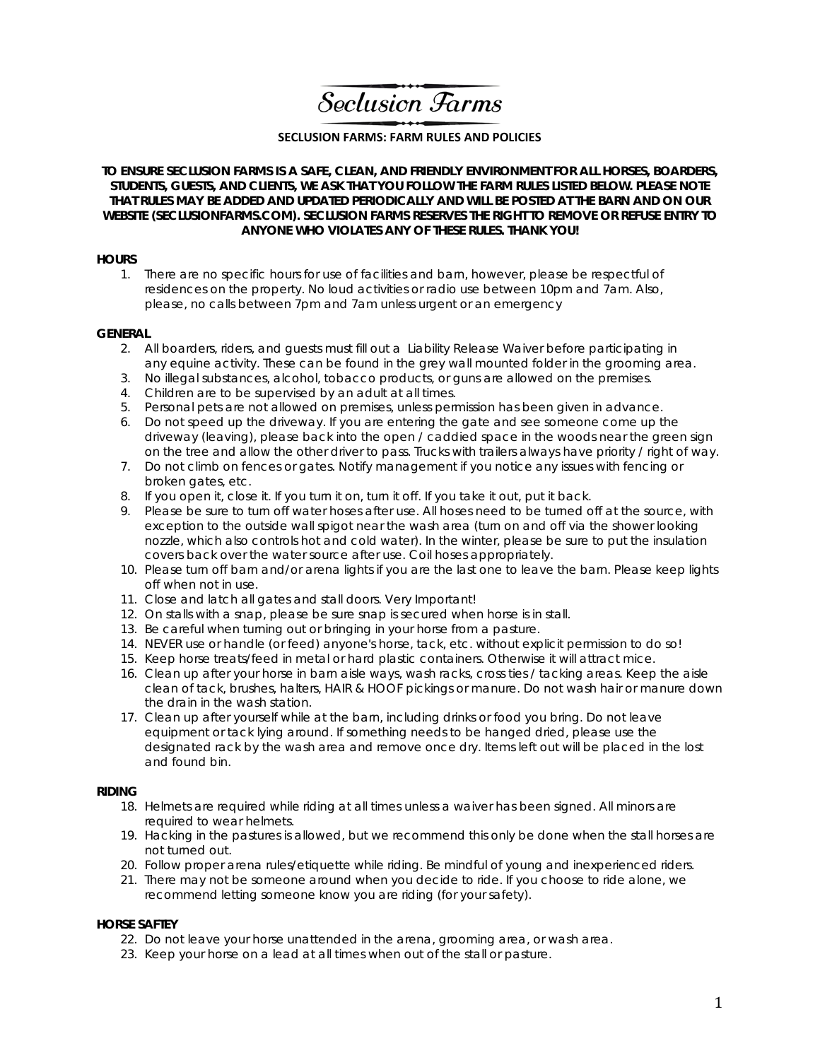Seclusion Farms

### **SECLUSION FARMS: FARM RULES AND POLICIES**

### **TO ENSURE SECLUSION FARMS IS A SAFE, CLEAN, AND FRIENDLY ENVIRONMENT FOR ALL HORSES, BOARDERS, STUDENTS, GUESTS, AND CLIENTS, WE ASK THAT YOU FOLLOW THE FARM RULES LISTED BELOW. PLEASE NOTE THAT RULES MAY BE ADDED AND UPDATED PERIODICALLY AND WILL BE POSTED AT THE BARN AND ON OUR WEBSITE (SECLUSIONFARMS.COM). SECLUSION FARMS RESERVES THE RIGHT TO REMOVE OR REFUSE ENTRY TO ANYONE WHO VIOLATES ANY OF THESE RULES. THANK YOU!**

#### **HOURS**

1. There are no specific hours for use of facilities and barn, however, please be respectful of residences on the property. No loud activities or radio use between 10pm and 7am. Also, please, no calls between 7pm and 7am unless urgent or an emergency

#### **GENERAL**

- 2. All boarders, riders, and guests must fill out a *Liability Release Waiver* before participating in any equine activity. These can be found in the grey wall mounted folder in the grooming area.
- 3. No illegal substances, alcohol, tobacco products, or guns are allowed on the premises.
- 4. Children are to be supervised by an adult at all times.
- 5. Personal pets are not allowed on premises, unless permission has been given in advance.
- 6. Do not speed up the driveway. If you are entering the gate and see someone come up the driveway (leaving), please back into the open / caddied space in the woods near the green sign on the tree and allow the other driver to pass. Trucks with trailers always have priority / right of way.
- 7. Do not climb on fences or gates. Notify management if you notice any issues with fencing or broken gates, etc.
- 8. If you open it, close it. If you turn it on, turn it off. If you take it out, put it back.
- 9. Please be sure to turn off water hoses after use. All hoses need to be turned off at the source, with exception to the outside wall spigot near the wash area (turn on and off via the shower looking nozzle, which also controls hot and cold water). In the winter, please be sure to put the insulation covers back over the water source after use. Coil hoses appropriately.
- 10. Please turn off barn and/or arena lights if you are the last one to leave the barn. Please keep lights off when not in use.
- 11. Close and latch all gates and stall doors. Very Important!
- 12. On stalls with a snap, please be sure snap is secured when horse is in stall.
- 13. Be careful when turning out or bringing in your horse from a pasture.
- 14. NEVER use or handle (or feed) anyone's horse, tack, etc. without explicit permission to do so!
- 15. Keep horse treats/feed in metal or hard plastic containers. Otherwise it will attract mice.
- 16. Clean up after your horse in barn aisle ways, wash racks, cross ties / tacking areas. Keep the aisle clean of tack, brushes, halters, HAIR & HOOF pickings or manure. Do not wash hair or manure down the drain in the wash station.
- 17. Clean up after yourself while at the barn, including drinks or food you bring. Do not leave equipment or tack lying around. If something needs to be hanged dried, please use the designated rack by the wash area and remove once dry. Items left out will be placed in the lost and found bin.

#### **RIDING**

- 18. Helmets are required while riding at all times unless a waiver has been signed. All minors are required to wear helmets.
- 19. Hacking in the pastures is allowed, but we recommend this only be done when the stall horses are not turned out.
- 20. Follow proper arena rules/etiquette while riding. Be mindful of young and inexperienced riders.
- 21. There may not be someone around when you decide to ride. If you choose to ride alone, we recommend letting someone know you are riding (for your safety).

#### **HORSE SAFTEY**

- 22. Do not leave your horse unattended in the arena, grooming area, or wash area.
- 23. Keep your horse on a lead at all times when out of the stall or pasture.